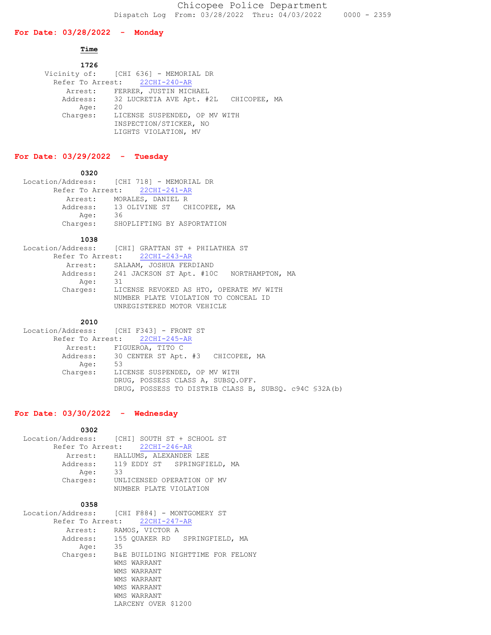## **For Date: 03/28/2022 - Monday**

# **Time**

| 1726     |                                                |
|----------|------------------------------------------------|
|          | Vicinity of: [CHI 636] - MEMORIAL DR           |
|          | Refer To Arrest: 22CHI-240-AR                  |
|          | Arrest: FERRER, JUSTIN MICHAEL                 |
|          | Address: 32 LUCRETIA AVE Apt. #2L CHICOPEE, MA |
| Age:     | -20                                            |
| Charges: | LICENSE SUSPENDED, OP MV WITH                  |
|          | INSPECTION/STICKER, NO                         |
|          | LIGHTS VIOLATION, MV                           |

## **For Date: 03/29/2022 - Tuesday**

#### **0320**

| Location/Address: [CHI 718] - MEMORIAL DR |
|-------------------------------------------|
| Refer To Arrest: 22CHI-241-AR             |
| MORALES, DANIEL R                         |
| 13 OLIVINE ST CHICOPEE, MA                |
| 36                                        |
| SHOPLIFTING BY ASPORTATION                |
|                                           |

#### **1038**

| Location/Address: [CHI] GRATTAN ST + PHILATHEA ST |
|---------------------------------------------------|
| Refer To Arrest: 22CHI-243-AR                     |
| Arrest: SALAAM, JOSHUA FERDIAND                   |
| Address: 241 JACKSON ST Apt. #10C NORTHAMPTON, MA |
| 31                                                |
| Charges: LICENSE REVOKED AS HTO, OPERATE MV WITH  |
| NUMBER PLATE VIOLATION TO CONCEAL ID              |
| UNREGISTERED MOTOR VEHICLE                        |
|                                                   |

## **2010**

```
 Location/Address: [CHI F343] - FRONT ST
 Refer To Arrest: 22CHI-245-AR
 Arrest: FIGUEROA, TITO C 
Address: 30 CENTER ST Apt. #3 CHICOPEE, MA
 Age: 53
         Charges: LICENSE SUSPENDED, OP MV WITH
                   DRUG, POSSESS CLASS A, SUBSQ.OFF.
                  DRUG, POSSESS TO DISTRIB CLASS B, SUBSQ. c94C §32A(b)
```
# **For Date: 03/30/2022 - Wednesday**

 **0302** Location/Address: [CHI] SOUTH ST + SCHOOL ST Refer To Arrest: 22CHI-246-AR Arrest: HALLUMS, ALEXANDER LEE Address: 119 EDDY ST SPRINGFIELD, MA Age: 33 Charges: UNLICENSED OPERATION OF MV NUMBER PLATE VIOLATION

## **0358**

| Location/Address: [CHI F884] - MONTGOMERY ST |
|----------------------------------------------|
| Refer To Arrest: 22CHI-247-AR                |
| RAMOS, VICTOR A                              |
| Address: 155 QUAKER RD SPRINGFIELD, MA       |
| 35                                           |
| B&E BUILDING NIGHTTIME FOR FELONY            |
| WMS WARRANT                                  |
| WMS WARRANT                                  |
| WMS WARRANT                                  |
| WMS WARRANT                                  |
| WMS WARRANT                                  |
| LARCENY OVER \$1200                          |
|                                              |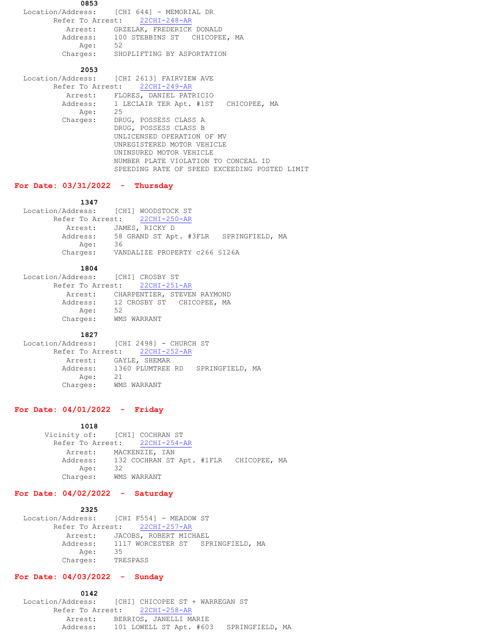**0853** Location/Address: [CHI 644] - MEMORIAL DR Refer To Arrest: 22CHI-248-AR Arrest: GRZELAK, FREDERICK DONALD Address: 100 STEBBINS ST CHICOPEE, MA Age: 52 Charges: SHOPLIFTING BY ASPORTATION  **2053** Location/Address: [CHI 2613] FAIRVIEW AVE

 Refer To Arrest: 22CHI-249-AR Arrest: FLORES, DANIEL PATRICIO Address: 1 LECLAIR TER Apt. #1ST CHICOPEE, MA Age: 25 Charges: DRUG, POSSESS CLASS A DRUG, POSSESS CLASS B UNLICENSED OPERATION OF MV UNREGISTERED MOTOR VEHICLE UNINSURED MOTOR VEHICLE NUMBER PLATE VIOLATION TO CONCEAL ID SPEEDING RATE OF SPEED EXCEEDING POSTED LIMIT

# **For Date: 03/31/2022 - Thursday**

### **1347**

 Location/Address: [CHI] WOODSTOCK ST Refer To Arrest: 22CHI-250-AR Arrest: JAMES, RICKY D Address: 58 GRAND ST Apt. #3FLR SPRINGFIELD, MA Age: 36 Charges: VANDALIZE PROPERTY c266 §126A

### **1804**

| Location/Address: [CHI] CROSBY ST |                                     |
|-----------------------------------|-------------------------------------|
|                                   | Refer To Arrest: 22CHI-251-AR       |
|                                   | Arrest: CHARPENTIER, STEVEN RAYMOND |
| Address:                          | 12 CROSBY ST CHICOPEE, MA           |
| Age:                              | 52                                  |
| Charges:                          | WMS WARRANT                         |

#### **1827**

 Location/Address: [CHI 2498] - CHURCH ST Refer To Arrest: 22CHI-252-AR Arrest: GAYLE, SHEMAR Address: 1360 PLUMTREE RD SPRINGFIELD, MA Age: 21 Age: 21<br>Charges: WMS WARRANT

## **For Date: 04/01/2022 - Friday**

#### **1018**

```
Vicinity of: [CHI] COCHRAN ST
  Refer To Arrest: 22CHI-254-AR
    Arrest: MACKENZIE, IAN 
    Address: 132 COCHRAN ST Apt. #1FLR CHICOPEE, MA
       Age: 32
    Charges: WMS WARRANT
```
## **For Date: 04/02/2022 - Saturday**

### **2325**

```
 Location/Address: [CHI F554] - MEADOW ST
        Refer To Arrest: 22CHI-257-AR
          Arrest: JACOBS, ROBERT MICHAEL 
 Address: 1117 WORCESTER ST SPRINGFIELD, MA
 Age: 35
         Charges: TRESPASS
```
## **For Date: 04/03/2022 - Sunday**

 **0142** Location/Address: [CHI] CHICOPEE ST + WARREGAN ST Refer To Arrest: 22CHI-258-AR Arrest: BERRIOS, JANELLI MARIE Address: 101 LOWELL ST Apt. #603 SPRINGFIELD, MA